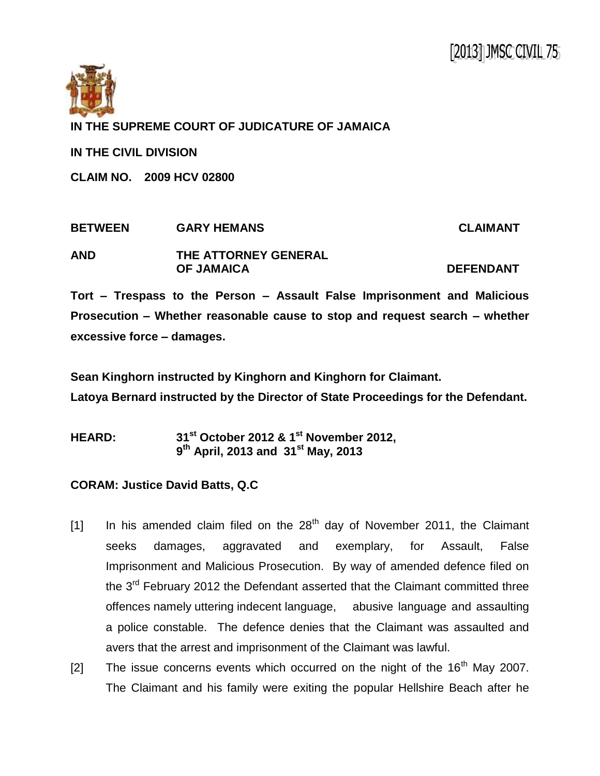

## **IN THE SUPREME COURT OF JUDICATURE OF JAMAICA**

**IN THE CIVIL DIVISION**

**CLAIM NO. 2009 HCV 02800**

| <b>BETWEEN</b> | <b>GARY HEMANS</b>   | <b>CLAIMANT</b>  |
|----------------|----------------------|------------------|
| <b>AND</b>     | THE ATTORNEY GENERAL |                  |
|                | <b>OF JAMAICA</b>    | <b>DEFENDANT</b> |

**Tort – Trespass to the Person – Assault False Imprisonment and Malicious Prosecution – Whether reasonable cause to stop and request search – whether excessive force – damages.**

**Sean Kinghorn instructed by Kinghorn and Kinghorn for Claimant.**

**Latoya Bernard instructed by the Director of State Proceedings for the Defendant.**

**HEARD: 31st October 2012 & 1st November 2012, 9 th April, 2013 and 31st May, 2013**

## **CORAM: Justice David Batts, Q.C**

- [1] In his amended claim filed on the  $28<sup>th</sup>$  day of November 2011, the Claimant seeks damages, aggravated and exemplary, for Assault, False Imprisonment and Malicious Prosecution. By way of amended defence filed on the 3<sup>rd</sup> February 2012 the Defendant asserted that the Claimant committed three offences namely uttering indecent language, abusive language and assaulting a police constable. The defence denies that the Claimant was assaulted and avers that the arrest and imprisonment of the Claimant was lawful.
- [2] The issue concerns events which occurred on the night of the  $16<sup>th</sup>$  May 2007. The Claimant and his family were exiting the popular Hellshire Beach after he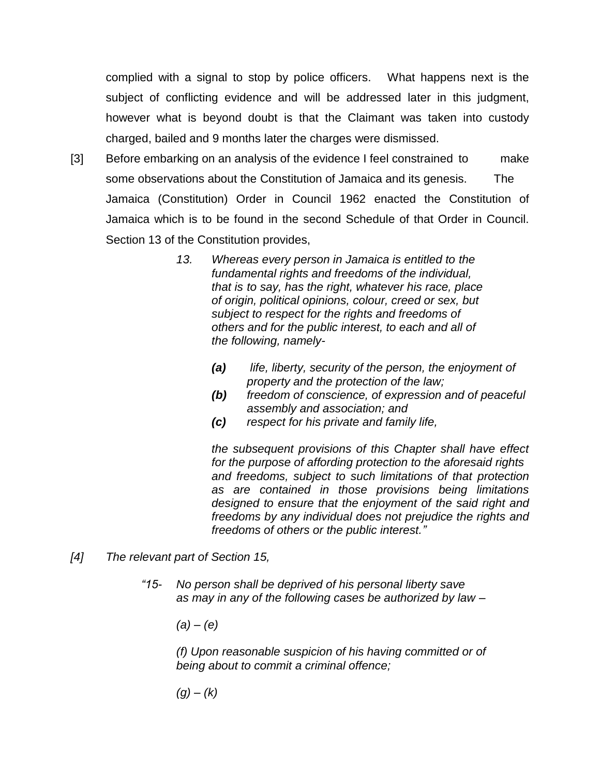complied with a signal to stop by police officers. What happens next is the subject of conflicting evidence and will be addressed later in this judgment, however what is beyond doubt is that the Claimant was taken into custody charged, bailed and 9 months later the charges were dismissed.

- [3] Before embarking on an analysis of the evidence I feel constrained to make some observations about the Constitution of Jamaica and its genesis. The Jamaica (Constitution) Order in Council 1962 enacted the Constitution of Jamaica which is to be found in the second Schedule of that Order in Council. Section 13 of the Constitution provides,
	- *13. Whereas every person in Jamaica is entitled to the fundamental rights and freedoms of the individual, that is to say, has the right, whatever his race, place of origin, political opinions, colour, creed or sex, but subject to respect for the rights and freedoms of others and for the public interest, to each and all of the following, namely-*
		- *(a) life, liberty, security of the person, the enjoyment of property and the protection of the law;*
		- *(b) freedom of conscience, of expression and of peaceful assembly and association; and*
		- *(c) respect for his private and family life,*

*the subsequent provisions of this Chapter shall have effect for the purpose of affording protection to the aforesaid rights and freedoms, subject to such limitations of that protection as are contained in those provisions being limitations designed to ensure that the enjoyment of the said right and freedoms by any individual does not prejudice the rights and freedoms of others or the public interest."*

- *[4] The relevant part of Section 15,*
	- *"15- No person shall be deprived of his personal liberty save as may in any of the following cases be authorized by law –*
		- *(a) – (e)*

*(f) Upon reasonable suspicion of his having committed or of being about to commit a criminal offence;* 

*(g) – (k)*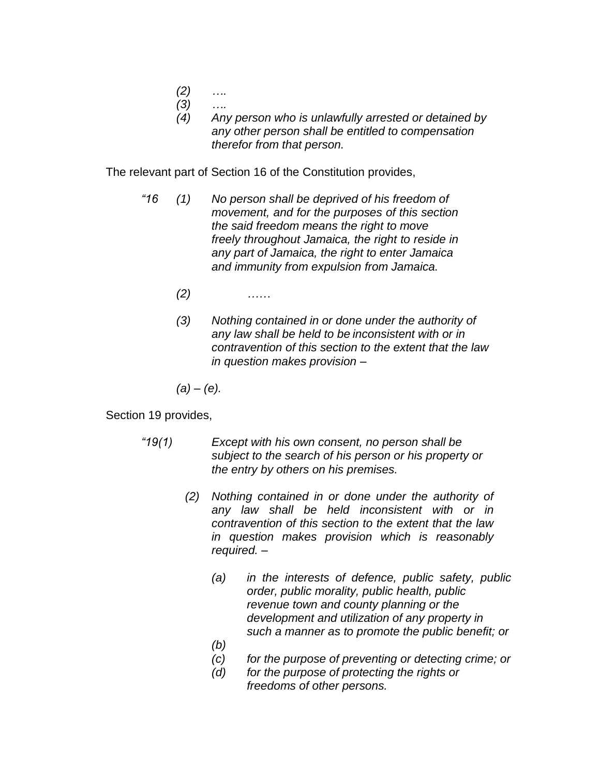- *(2) ….*
- *(3) ….*
- *(4) Any person who is unlawfully arrested or detained by any other person shall be entitled to compensation therefor from that person.*

The relevant part of Section 16 of the Constitution provides,

- *"16 (1) No person shall be deprived of his freedom of movement, and for the purposes of this section the said freedom means the right to move freely throughout Jamaica, the right to reside in any part of Jamaica, the right to enter Jamaica and immunity from expulsion from Jamaica.* 
	- *(2) ……*
	- *(3) Nothing contained in or done under the authority of any law shall be held to be inconsistent with or in contravention of this section to the extent that the law in question makes provision –*

*(a) – (e).*

## Section 19 provides,

- *"19(1) Except with his own consent, no person shall be subject to the search of his person or his property or the entry by others on his premises.*
	- *(2) Nothing contained in or done under the authority of any law shall be held inconsistent with or in contravention of this section to the extent that the law in question makes provision which is reasonably required. –*
		- *(a) in the interests of defence, public safety, public order, public morality, public health, public revenue town and county planning or the development and utilization of any property in such a manner as to promote the public benefit; or*
		- *(b)*
		- *(c) for the purpose of preventing or detecting crime; or*
		- *(d) for the purpose of protecting the rights or freedoms of other persons.*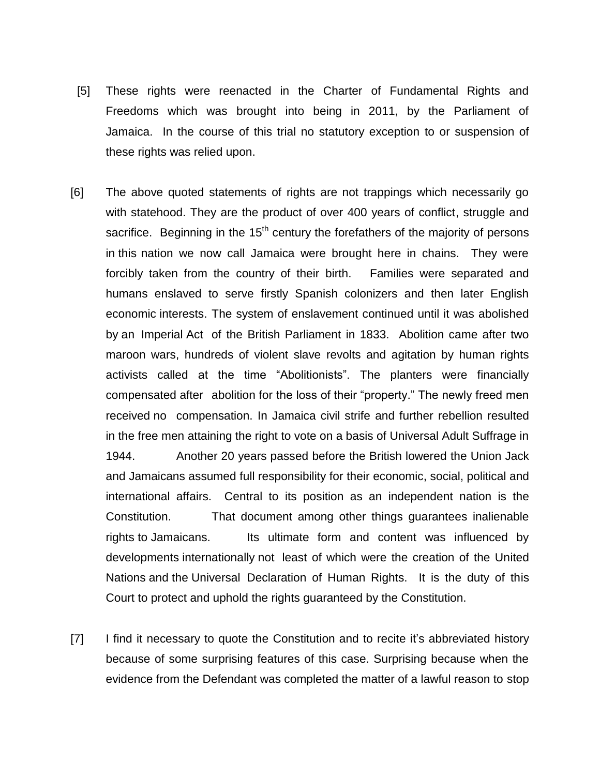- [5] These rights were reenacted in the Charter of Fundamental Rights and Freedoms which was brought into being in 2011, by the Parliament of Jamaica. In the course of this trial no statutory exception to or suspension of these rights was relied upon.
- [6] The above quoted statements of rights are not trappings which necessarily go with statehood. They are the product of over 400 years of conflict, struggle and sacrifice. Beginning in the  $15<sup>th</sup>$  century the forefathers of the majority of persons in this nation we now call Jamaica were brought here in chains. They were forcibly taken from the country of their birth. Families were separated and humans enslaved to serve firstly Spanish colonizers and then later English economic interests. The system of enslavement continued until it was abolished by an Imperial Act of the British Parliament in 1833. Abolition came after two maroon wars, hundreds of violent slave revolts and agitation by human rights activists called at the time "Abolitionists". The planters were financially compensated after abolition for the loss of their "property." The newly freed men received no compensation. In Jamaica civil strife and further rebellion resulted in the free men attaining the right to vote on a basis of Universal Adult Suffrage in 1944. Another 20 years passed before the British lowered the Union Jack and Jamaicans assumed full responsibility for their economic, social, political and international affairs. Central to its position as an independent nation is the Constitution. That document among other things guarantees inalienable rights to Jamaicans. Its ultimate form and content was influenced by developments internationally not least of which were the creation of the United Nations and the Universal Declaration of Human Rights. It is the duty of this Court to protect and uphold the rights guaranteed by the Constitution.
- [7] I find it necessary to quote the Constitution and to recite it's abbreviated history because of some surprising features of this case. Surprising because when the evidence from the Defendant was completed the matter of a lawful reason to stop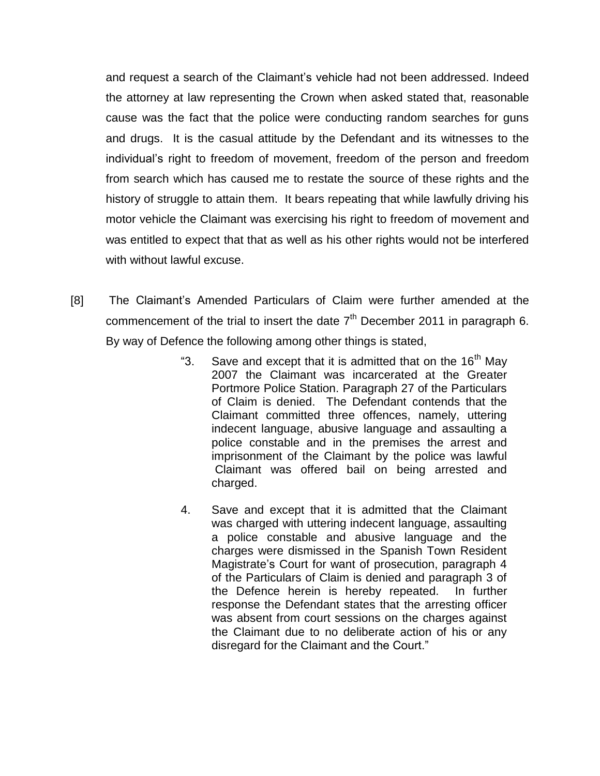and request a search of the Claimant's vehicle had not been addressed. Indeed the attorney at law representing the Crown when asked stated that, reasonable cause was the fact that the police were conducting random searches for guns and drugs. It is the casual attitude by the Defendant and its witnesses to the individual's right to freedom of movement, freedom of the person and freedom from search which has caused me to restate the source of these rights and the history of struggle to attain them. It bears repeating that while lawfully driving his motor vehicle the Claimant was exercising his right to freedom of movement and was entitled to expect that that as well as his other rights would not be interfered with without lawful excuse.

- [8] The Claimant's Amended Particulars of Claim were further amended at the commencement of the trial to insert the date  $7<sup>th</sup>$  December 2011 in paragraph 6. By way of Defence the following among other things is stated,
	- "3. Save and except that it is admitted that on the  $16<sup>th</sup>$  May 2007 the Claimant was incarcerated at the Greater Portmore Police Station. Paragraph 27 of the Particulars of Claim is denied. The Defendant contends that the Claimant committed three offences, namely, uttering indecent language, abusive language and assaulting a police constable and in the premises the arrest and imprisonment of the Claimant by the police was lawful Claimant was offered bail on being arrested and charged.
	- 4. Save and except that it is admitted that the Claimant was charged with uttering indecent language, assaulting a police constable and abusive language and the charges were dismissed in the Spanish Town Resident Magistrate's Court for want of prosecution, paragraph 4 of the Particulars of Claim is denied and paragraph 3 of the Defence herein is hereby repeated. In further response the Defendant states that the arresting officer was absent from court sessions on the charges against the Claimant due to no deliberate action of his or any disregard for the Claimant and the Court."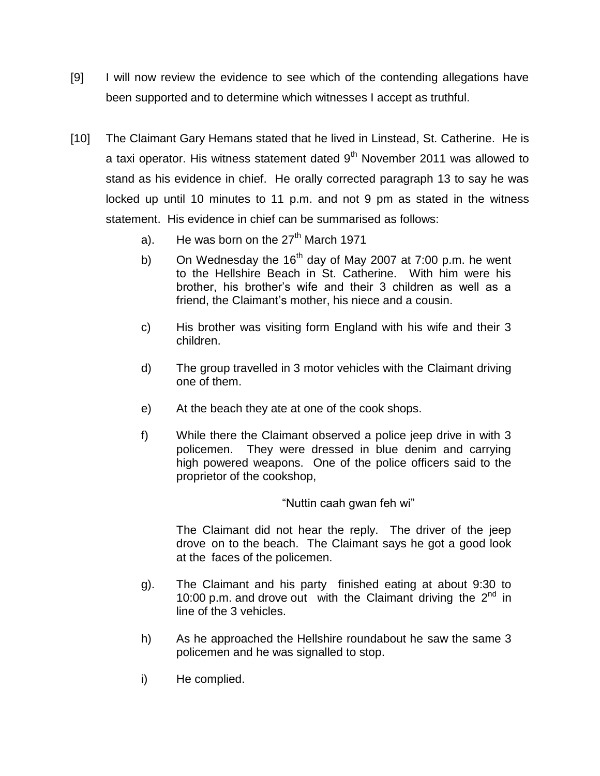- [9] I will now review the evidence to see which of the contending allegations have been supported and to determine which witnesses I accept as truthful.
- [10] The Claimant Gary Hemans stated that he lived in Linstead, St. Catherine. He is a taxi operator. His witness statement dated 9<sup>th</sup> November 2011 was allowed to stand as his evidence in chief. He orally corrected paragraph 13 to say he was locked up until 10 minutes to 11 p.m. and not 9 pm as stated in the witness statement. His evidence in chief can be summarised as follows:
	- a). He was born on the  $27<sup>th</sup>$  March 1971
	- b) On Wednesday the  $16<sup>th</sup>$  day of May 2007 at 7:00 p.m. he went to the Hellshire Beach in St. Catherine. With him were his brother, his brother's wife and their 3 children as well as a friend, the Claimant's mother, his niece and a cousin.
	- c) His brother was visiting form England with his wife and their 3 children.
	- d) The group travelled in 3 motor vehicles with the Claimant driving one of them.
	- e) At the beach they ate at one of the cook shops.
	- f) While there the Claimant observed a police jeep drive in with 3 policemen. They were dressed in blue denim and carrying high powered weapons. One of the police officers said to the proprietor of the cookshop,

## "Nuttin caah gwan feh wi"

The Claimant did not hear the reply. The driver of the jeep drove on to the beach. The Claimant says he got a good look at the faces of the policemen.

- g). The Claimant and his party finished eating at about 9:30 to 10:00 p.m. and drove out with the Claimant driving the  $2<sup>nd</sup>$  in line of the 3 vehicles.
- h) As he approached the Hellshire roundabout he saw the same 3 policemen and he was signalled to stop.
- i) He complied.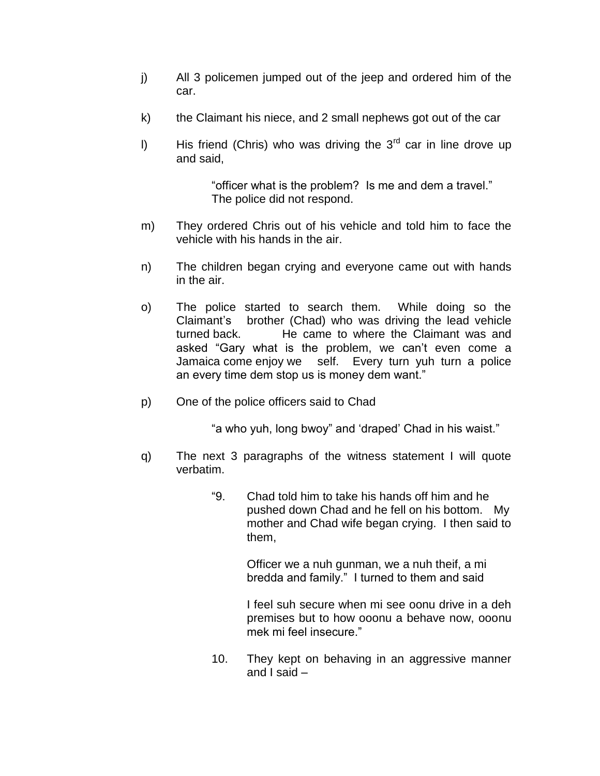- j) All 3 policemen jumped out of the jeep and ordered him of the car.
- k) the Claimant his niece, and 2 small nephews got out of the car
- I) His friend (Chris) who was driving the  $3<sup>rd</sup>$  car in line drove up and said,

"officer what is the problem? Is me and dem a travel." The police did not respond.

- m) They ordered Chris out of his vehicle and told him to face the vehicle with his hands in the air.
- n) The children began crying and everyone came out with hands in the air.
- o) The police started to search them. While doing so the Claimant's brother (Chad) who was driving the lead vehicle turned back. He came to where the Claimant was and asked "Gary what is the problem, we can't even come a Jamaica come enjoy we self. Every turn yuh turn a police an every time dem stop us is money dem want."
- p) One of the police officers said to Chad

"a who yuh, long bwoy" and 'draped' Chad in his waist."

- q) The next 3 paragraphs of the witness statement I will quote verbatim.
	- "9. Chad told him to take his hands off him and he pushed down Chad and he fell on his bottom. My mother and Chad wife began crying. I then said to them,

Officer we a nuh gunman, we a nuh theif, a mi bredda and family." I turned to them and said

I feel suh secure when mi see oonu drive in a deh premises but to how ooonu a behave now, ooonu mek mi feel insecure."

10. They kept on behaving in an aggressive manner and I said –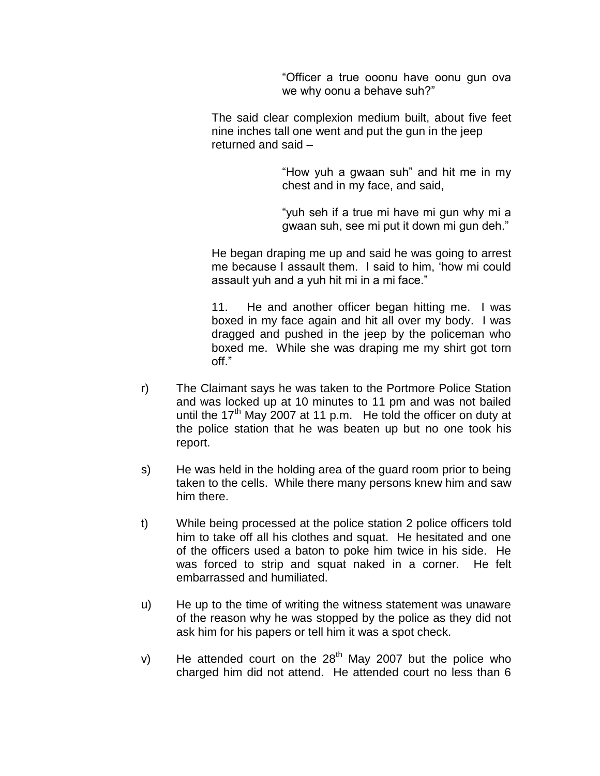"Officer a true ooonu have oonu gun ova we why oonu a behave suh?"

The said clear complexion medium built, about five feet nine inches tall one went and put the gun in the jeep returned and said –

> "How yuh a gwaan suh" and hit me in my chest and in my face, and said,

> "yuh seh if a true mi have mi gun why mi a gwaan suh, see mi put it down mi gun deh."

He began draping me up and said he was going to arrest me because I assault them. I said to him, 'how mi could assault yuh and a yuh hit mi in a mi face."

11. He and another officer began hitting me. I was boxed in my face again and hit all over my body. I was dragged and pushed in the jeep by the policeman who boxed me. While she was draping me my shirt got torn off."

- r) The Claimant says he was taken to the Portmore Police Station and was locked up at 10 minutes to 11 pm and was not bailed until the  $17<sup>th</sup>$  May 2007 at 11 p.m. He told the officer on duty at the police station that he was beaten up but no one took his report.
- s) He was held in the holding area of the guard room prior to being taken to the cells. While there many persons knew him and saw him there.
- t) While being processed at the police station 2 police officers told him to take off all his clothes and squat. He hesitated and one of the officers used a baton to poke him twice in his side. He was forced to strip and squat naked in a corner. He felt embarrassed and humiliated.
- u) He up to the time of writing the witness statement was unaware of the reason why he was stopped by the police as they did not ask him for his papers or tell him it was a spot check.
- v) He attended court on the  $28<sup>th</sup>$  May 2007 but the police who charged him did not attend. He attended court no less than 6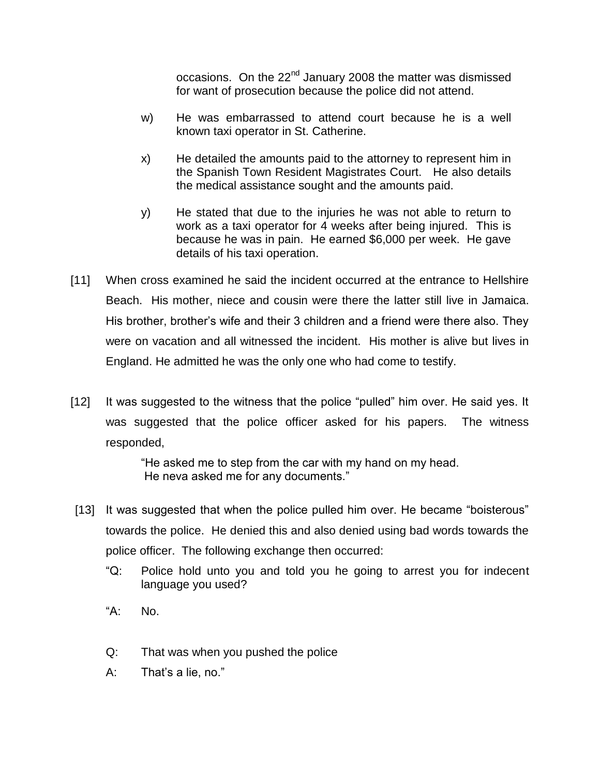occasions. On the 22<sup>nd</sup> January 2008 the matter was dismissed for want of prosecution because the police did not attend.

- w) He was embarrassed to attend court because he is a well known taxi operator in St. Catherine.
- x) He detailed the amounts paid to the attorney to represent him in the Spanish Town Resident Magistrates Court. He also details the medical assistance sought and the amounts paid.
- y) He stated that due to the injuries he was not able to return to work as a taxi operator for 4 weeks after being injured. This is because he was in pain. He earned \$6,000 per week. He gave details of his taxi operation.
- [11] When cross examined he said the incident occurred at the entrance to Hellshire Beach. His mother, niece and cousin were there the latter still live in Jamaica. His brother, brother's wife and their 3 children and a friend were there also. They were on vacation and all witnessed the incident. His mother is alive but lives in England. He admitted he was the only one who had come to testify.
- [12] It was suggested to the witness that the police "pulled" him over. He said yes. It was suggested that the police officer asked for his papers. The witness responded,

"He asked me to step from the car with my hand on my head. He neva asked me for any documents."

- [13] It was suggested that when the police pulled him over. He became "boisterous" towards the police. He denied this and also denied using bad words towards the police officer. The following exchange then occurred:
	- "Q: Police hold unto you and told you he going to arrest you for indecent language you used?
	- "A: No.
	- Q: That was when you pushed the police
	- A: That's a lie, no."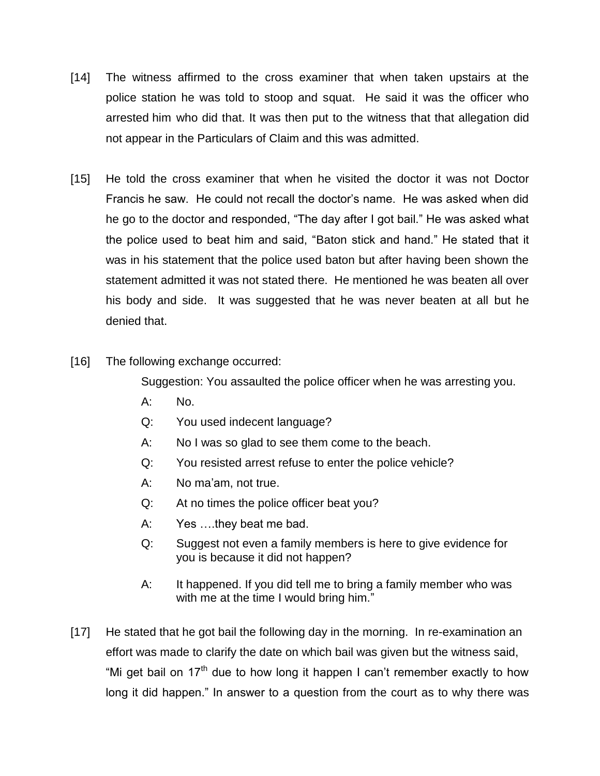- [14] The witness affirmed to the cross examiner that when taken upstairs at the police station he was told to stoop and squat. He said it was the officer who arrested him who did that. It was then put to the witness that that allegation did not appear in the Particulars of Claim and this was admitted.
- [15] He told the cross examiner that when he visited the doctor it was not Doctor Francis he saw. He could not recall the doctor's name. He was asked when did he go to the doctor and responded, "The day after I got bail." He was asked what the police used to beat him and said, "Baton stick and hand." He stated that it was in his statement that the police used baton but after having been shown the statement admitted it was not stated there. He mentioned he was beaten all over his body and side. It was suggested that he was never beaten at all but he denied that.
- [16] The following exchange occurred:

Suggestion: You assaulted the police officer when he was arresting you.

- A: No.
- Q: You used indecent language?
- A: No I was so glad to see them come to the beach.
- Q: You resisted arrest refuse to enter the police vehicle?
- A: No ma'am, not true.
- Q: At no times the police officer beat you?
- A: Yes ….they beat me bad.
- Q: Suggest not even a family members is here to give evidence for you is because it did not happen?
- A: It happened. If you did tell me to bring a family member who was with me at the time I would bring him."
- [17] He stated that he got bail the following day in the morning. In re-examination an effort was made to clarify the date on which bail was given but the witness said, "Mi get bail on  $17<sup>th</sup>$  due to how long it happen I can't remember exactly to how long it did happen." In answer to a question from the court as to why there was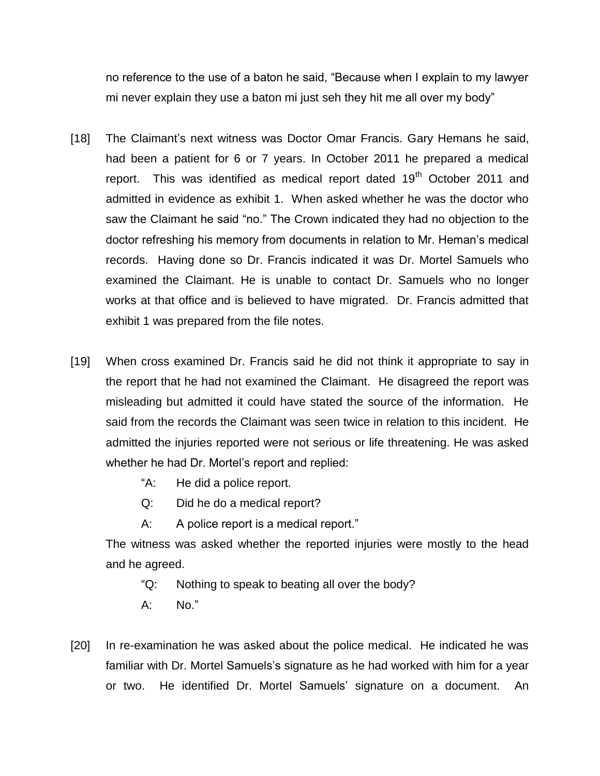no reference to the use of a baton he said, "Because when I explain to my lawyer mi never explain they use a baton mi just seh they hit me all over my body"

- [18] The Claimant's next witness was Doctor Omar Francis. Gary Hemans he said, had been a patient for 6 or 7 years. In October 2011 he prepared a medical report. This was identified as medical report dated  $19<sup>th</sup>$  October 2011 and admitted in evidence as exhibit 1. When asked whether he was the doctor who saw the Claimant he said "no." The Crown indicated they had no objection to the doctor refreshing his memory from documents in relation to Mr. Heman's medical records. Having done so Dr. Francis indicated it was Dr. Mortel Samuels who examined the Claimant. He is unable to contact Dr. Samuels who no longer works at that office and is believed to have migrated. Dr. Francis admitted that exhibit 1 was prepared from the file notes.
- [19] When cross examined Dr. Francis said he did not think it appropriate to say in the report that he had not examined the Claimant. He disagreed the report was misleading but admitted it could have stated the source of the information. He said from the records the Claimant was seen twice in relation to this incident. He admitted the injuries reported were not serious or life threatening. He was asked whether he had Dr. Mortel's report and replied:
	- "A: He did a police report.
	- Q: Did he do a medical report?
	- A: A police report is a medical report."

The witness was asked whether the reported injuries were mostly to the head and he agreed.

- "Q: Nothing to speak to beating all over the body?
- A: No."
- [20] In re-examination he was asked about the police medical. He indicated he was familiar with Dr. Mortel Samuels's signature as he had worked with him for a year or two. He identified Dr. Mortel Samuels' signature on a document. An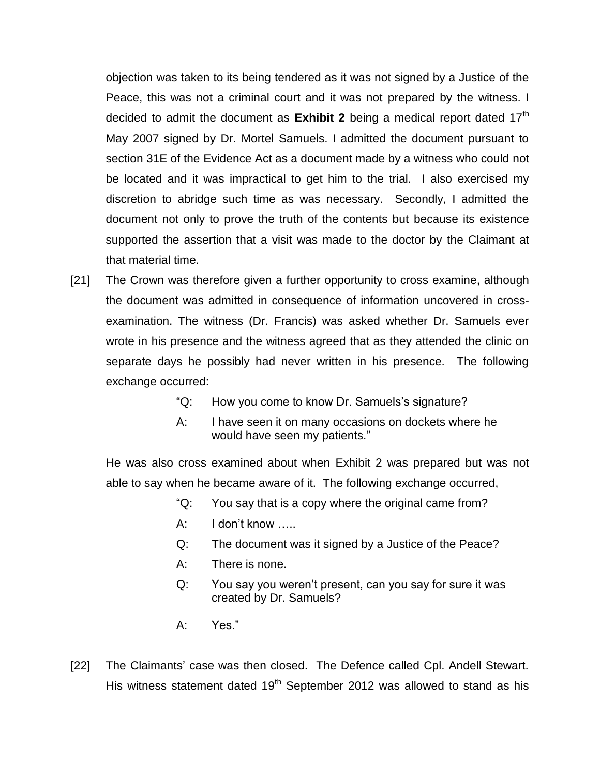objection was taken to its being tendered as it was not signed by a Justice of the Peace, this was not a criminal court and it was not prepared by the witness. I decided to admit the document as **Exhibit 2** being a medical report dated 17<sup>th</sup> May 2007 signed by Dr. Mortel Samuels. I admitted the document pursuant to section 31E of the Evidence Act as a document made by a witness who could not be located and it was impractical to get him to the trial. I also exercised my discretion to abridge such time as was necessary. Secondly, I admitted the document not only to prove the truth of the contents but because its existence supported the assertion that a visit was made to the doctor by the Claimant at that material time.

- [21] The Crown was therefore given a further opportunity to cross examine, although the document was admitted in consequence of information uncovered in crossexamination. The witness (Dr. Francis) was asked whether Dr. Samuels ever wrote in his presence and the witness agreed that as they attended the clinic on separate days he possibly had never written in his presence. The following exchange occurred:
	- "Q: How you come to know Dr. Samuels's signature?
	- A: I have seen it on many occasions on dockets where he would have seen my patients."

He was also cross examined about when Exhibit 2 was prepared but was not able to say when he became aware of it. The following exchange occurred,

- "Q: You say that is a copy where the original came from?
- A: I don't know …..
- Q: The document was it signed by a Justice of the Peace?
- A: There is none.
- Q: You say you weren't present, can you say for sure it was created by Dr. Samuels?
- A: Yes."
- [22] The Claimants' case was then closed. The Defence called Cpl. Andell Stewart. His witness statement dated  $19<sup>th</sup>$  September 2012 was allowed to stand as his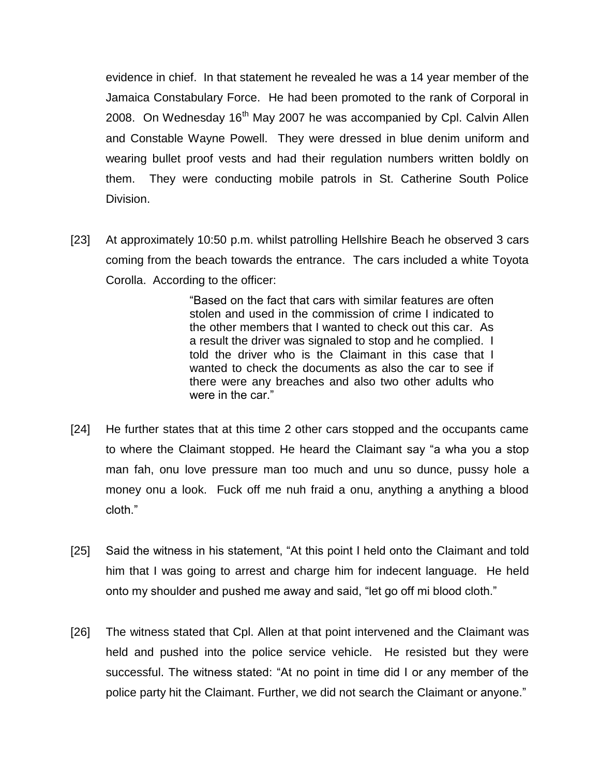evidence in chief. In that statement he revealed he was a 14 year member of the Jamaica Constabulary Force. He had been promoted to the rank of Corporal in 2008. On Wednesday  $16<sup>th</sup>$  May 2007 he was accompanied by Cpl. Calvin Allen and Constable Wayne Powell. They were dressed in blue denim uniform and wearing bullet proof vests and had their regulation numbers written boldly on them. They were conducting mobile patrols in St. Catherine South Police Division.

[23] At approximately 10:50 p.m. whilst patrolling Hellshire Beach he observed 3 cars coming from the beach towards the entrance. The cars included a white Toyota Corolla. According to the officer:

> "Based on the fact that cars with similar features are often stolen and used in the commission of crime I indicated to the other members that I wanted to check out this car. As a result the driver was signaled to stop and he complied. I told the driver who is the Claimant in this case that I wanted to check the documents as also the car to see if there were any breaches and also two other adults who were in the car."

- [24] He further states that at this time 2 other cars stopped and the occupants came to where the Claimant stopped. He heard the Claimant say "a wha you a stop man fah, onu love pressure man too much and unu so dunce, pussy hole a money onu a look. Fuck off me nuh fraid a onu, anything a anything a blood cloth."
- [25] Said the witness in his statement, "At this point I held onto the Claimant and told him that I was going to arrest and charge him for indecent language. He held onto my shoulder and pushed me away and said, "let go off mi blood cloth."
- [26] The witness stated that Cpl. Allen at that point intervened and the Claimant was held and pushed into the police service vehicle. He resisted but they were successful. The witness stated: "At no point in time did I or any member of the police party hit the Claimant. Further, we did not search the Claimant or anyone."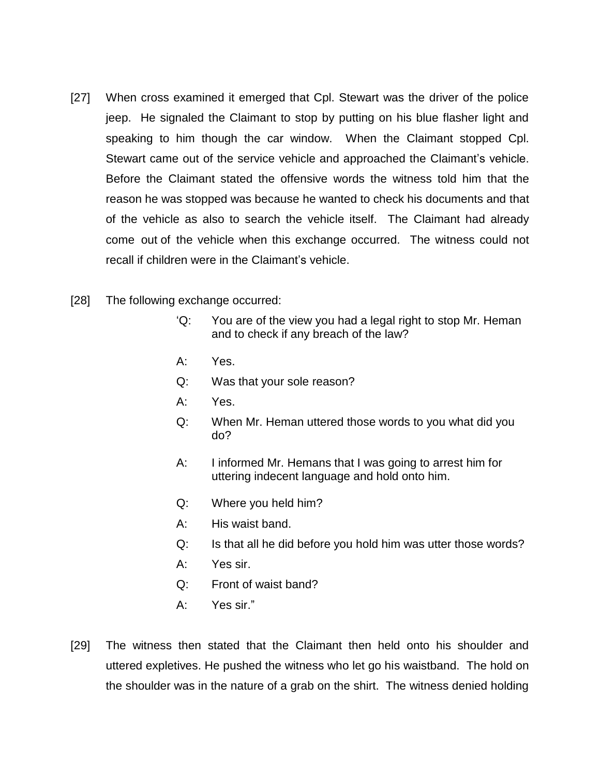- [27] When cross examined it emerged that Cpl. Stewart was the driver of the police jeep. He signaled the Claimant to stop by putting on his blue flasher light and speaking to him though the car window. When the Claimant stopped Cpl. Stewart came out of the service vehicle and approached the Claimant's vehicle. Before the Claimant stated the offensive words the witness told him that the reason he was stopped was because he wanted to check his documents and that of the vehicle as also to search the vehicle itself. The Claimant had already come out of the vehicle when this exchange occurred. The witness could not recall if children were in the Claimant's vehicle.
- [28] The following exchange occurred:
	- 'Q: You are of the view you had a legal right to stop Mr. Heman and to check if any breach of the law?
	- A: Yes.
	- Q: Was that your sole reason?
	- A: Yes.
	- Q: When Mr. Heman uttered those words to you what did you do?
	- A: I informed Mr. Hemans that I was going to arrest him for uttering indecent language and hold onto him.
	- Q: Where you held him?
	- A: His waist band.
	- Q: Is that all he did before you hold him was utter those words?
	- A: Yes sir.
	- Q: Front of waist band?
	- A: Yes sir."
- [29] The witness then stated that the Claimant then held onto his shoulder and uttered expletives. He pushed the witness who let go his waistband. The hold on the shoulder was in the nature of a grab on the shirt. The witness denied holding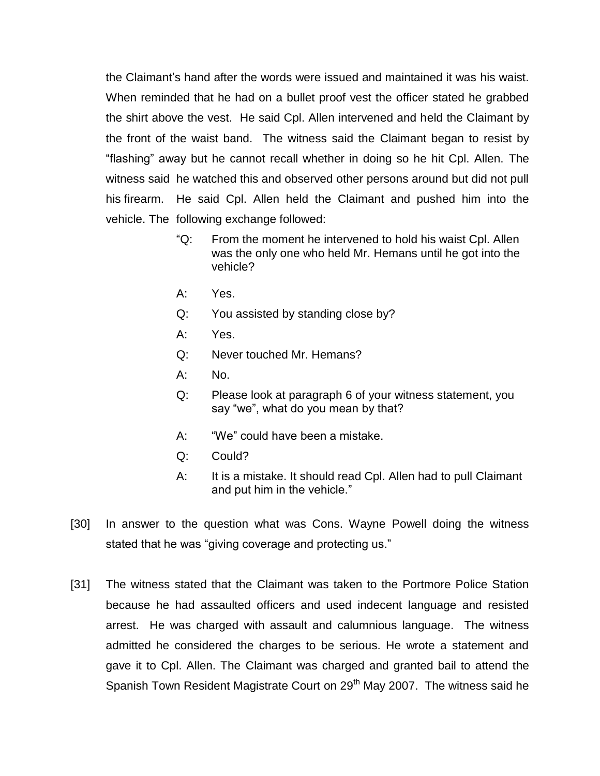the Claimant's hand after the words were issued and maintained it was his waist. When reminded that he had on a bullet proof vest the officer stated he grabbed the shirt above the vest. He said Cpl. Allen intervened and held the Claimant by the front of the waist band. The witness said the Claimant began to resist by "flashing" away but he cannot recall whether in doing so he hit Cpl. Allen. The witness said he watched this and observed other persons around but did not pull his firearm. He said Cpl. Allen held the Claimant and pushed him into the vehicle. The following exchange followed:

- "Q: From the moment he intervened to hold his waist Cpl. Allen was the only one who held Mr. Hemans until he got into the vehicle?
- A: Yes.
- Q: You assisted by standing close by?
- A: Yes.
- Q: Never touched Mr. Hemans?
- A: No.
- Q: Please look at paragraph 6 of your witness statement, you say "we", what do you mean by that?
- A: "We" could have been a mistake.
- Q: Could?
- A: It is a mistake. It should read Cpl. Allen had to pull Claimant and put him in the vehicle."
- [30] In answer to the question what was Cons. Wayne Powell doing the witness stated that he was "giving coverage and protecting us."
- [31] The witness stated that the Claimant was taken to the Portmore Police Station because he had assaulted officers and used indecent language and resisted arrest. He was charged with assault and calumnious language. The witness admitted he considered the charges to be serious. He wrote a statement and gave it to Cpl. Allen. The Claimant was charged and granted bail to attend the Spanish Town Resident Magistrate Court on 29<sup>th</sup> May 2007. The witness said he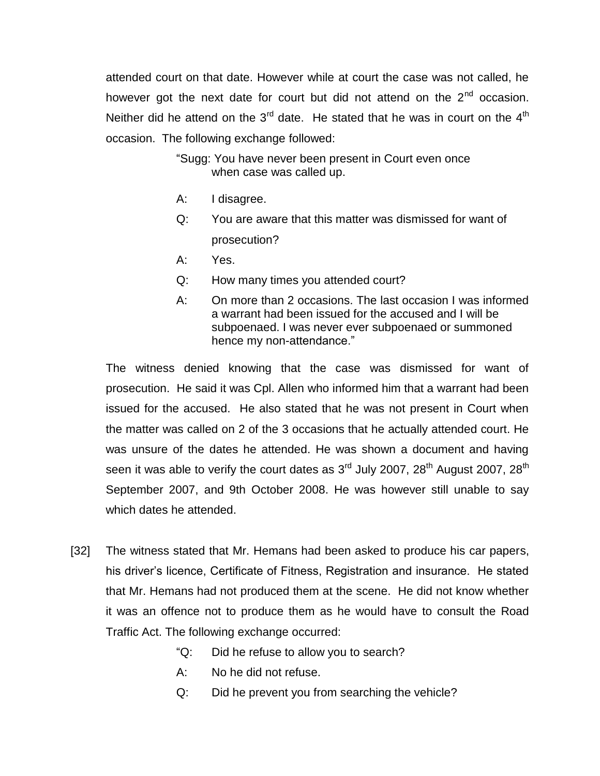attended court on that date. However while at court the case was not called, he however got the next date for court but did not attend on the  $2^{nd}$  occasion. Neither did he attend on the  $3<sup>rd</sup>$  date. He stated that he was in court on the  $4<sup>th</sup>$ occasion. The following exchange followed:

> "Sugg: You have never been present in Court even once when case was called up.

- A: I disagree.
- Q: You are aware that this matter was dismissed for want of prosecution?
- A: Yes.
- Q: How many times you attended court?
- A: On more than 2 occasions. The last occasion I was informed a warrant had been issued for the accused and I will be subpoenaed. I was never ever subpoenaed or summoned hence my non-attendance."

The witness denied knowing that the case was dismissed for want of prosecution. He said it was Cpl. Allen who informed him that a warrant had been issued for the accused. He also stated that he was not present in Court when the matter was called on 2 of the 3 occasions that he actually attended court. He was unsure of the dates he attended. He was shown a document and having seen it was able to verify the court dates as  $3<sup>rd</sup>$  July 2007, 28<sup>th</sup> August 2007, 28<sup>th</sup> September 2007, and 9th October 2008. He was however still unable to say which dates he attended.

- [32] The witness stated that Mr. Hemans had been asked to produce his car papers, his driver's licence, Certificate of Fitness, Registration and insurance. He stated that Mr. Hemans had not produced them at the scene. He did not know whether it was an offence not to produce them as he would have to consult the Road Traffic Act. The following exchange occurred:
	- "Q: Did he refuse to allow you to search?
	- A: No he did not refuse.
	- Q: Did he prevent you from searching the vehicle?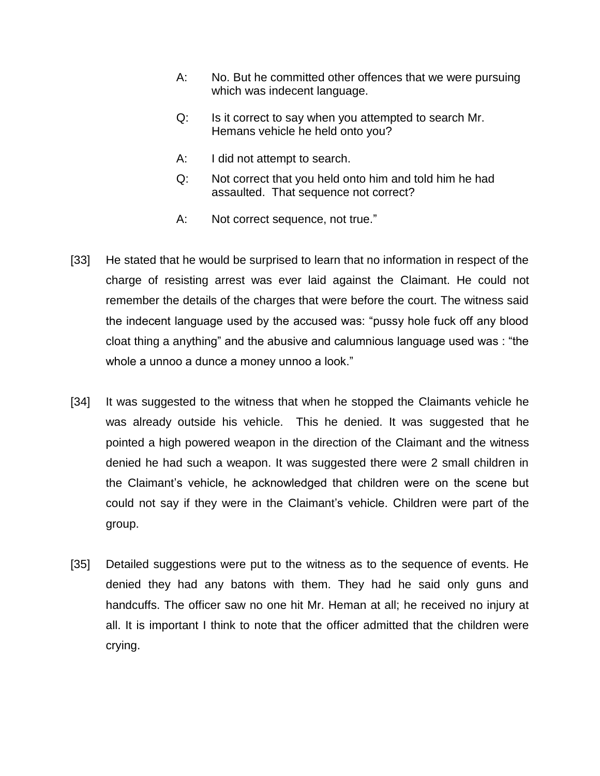- A: No. But he committed other offences that we were pursuing which was indecent language.
- Q: Is it correct to say when you attempted to search Mr. Hemans vehicle he held onto you?
- A: I did not attempt to search.
- Q: Not correct that you held onto him and told him he had assaulted. That sequence not correct?
- A: Not correct sequence, not true."
- [33] He stated that he would be surprised to learn that no information in respect of the charge of resisting arrest was ever laid against the Claimant. He could not remember the details of the charges that were before the court. The witness said the indecent language used by the accused was: "pussy hole fuck off any blood cloat thing a anything" and the abusive and calumnious language used was : "the whole a unnoo a dunce a money unnoo a look."
- [34] It was suggested to the witness that when he stopped the Claimants vehicle he was already outside his vehicle. This he denied. It was suggested that he pointed a high powered weapon in the direction of the Claimant and the witness denied he had such a weapon. It was suggested there were 2 small children in the Claimant's vehicle, he acknowledged that children were on the scene but could not say if they were in the Claimant's vehicle. Children were part of the group.
- [35] Detailed suggestions were put to the witness as to the sequence of events. He denied they had any batons with them. They had he said only guns and handcuffs. The officer saw no one hit Mr. Heman at all; he received no injury at all. It is important I think to note that the officer admitted that the children were crying.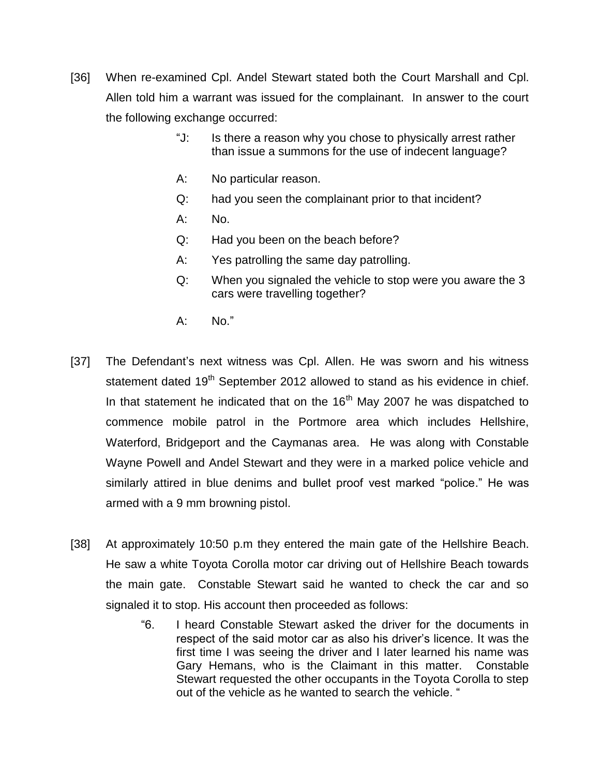- [36] When re-examined Cpl. Andel Stewart stated both the Court Marshall and Cpl. Allen told him a warrant was issued for the complainant. In answer to the court the following exchange occurred:
	- "J: Is there a reason why you chose to physically arrest rather than issue a summons for the use of indecent language?
	- A: No particular reason.
	- Q: had you seen the complainant prior to that incident?
	- A: No.
	- Q: Had you been on the beach before?
	- A: Yes patrolling the same day patrolling.
	- Q: When you signaled the vehicle to stop were you aware the 3 cars were travelling together?
	- A: No."
- [37] The Defendant's next witness was Cpl. Allen. He was sworn and his witness statement dated 19<sup>th</sup> September 2012 allowed to stand as his evidence in chief. In that statement he indicated that on the  $16<sup>th</sup>$  May 2007 he was dispatched to commence mobile patrol in the Portmore area which includes Hellshire, Waterford, Bridgeport and the Caymanas area. He was along with Constable Wayne Powell and Andel Stewart and they were in a marked police vehicle and similarly attired in blue denims and bullet proof vest marked "police." He was armed with a 9 mm browning pistol.
- [38] At approximately 10:50 p.m they entered the main gate of the Hellshire Beach. He saw a white Toyota Corolla motor car driving out of Hellshire Beach towards the main gate. Constable Stewart said he wanted to check the car and so signaled it to stop. His account then proceeded as follows:
	- "6. I heard Constable Stewart asked the driver for the documents in respect of the said motor car as also his driver's licence. It was the first time I was seeing the driver and I later learned his name was Gary Hemans, who is the Claimant in this matter. Constable Stewart requested the other occupants in the Toyota Corolla to step out of the vehicle as he wanted to search the vehicle. "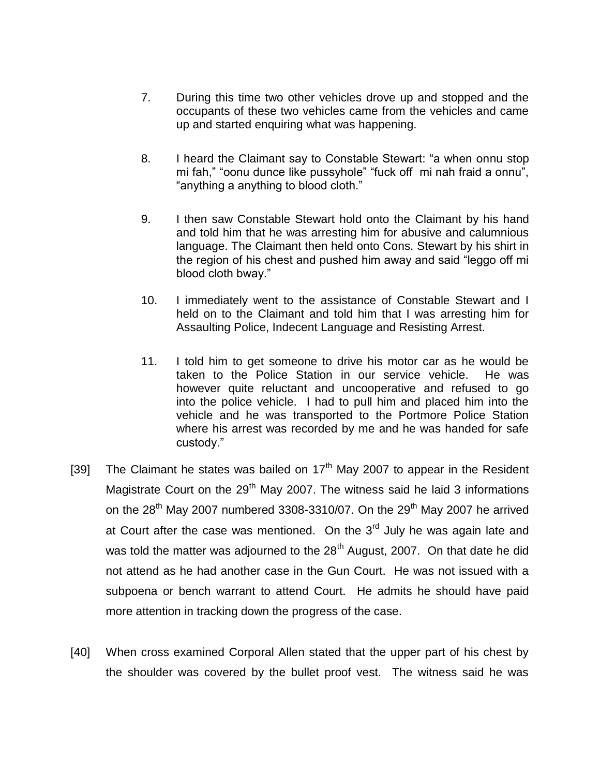- 7. During this time two other vehicles drove up and stopped and the occupants of these two vehicles came from the vehicles and came up and started enquiring what was happening.
- 8. I heard the Claimant say to Constable Stewart: "a when onnu stop mi fah," "oonu dunce like pussyhole" "fuck off mi nah fraid a onnu", "anything a anything to blood cloth."
- 9. I then saw Constable Stewart hold onto the Claimant by his hand and told him that he was arresting him for abusive and calumnious language. The Claimant then held onto Cons. Stewart by his shirt in the region of his chest and pushed him away and said "leggo off mi blood cloth bway."
- 10. I immediately went to the assistance of Constable Stewart and I held on to the Claimant and told him that I was arresting him for Assaulting Police, Indecent Language and Resisting Arrest.
- 11. I told him to get someone to drive his motor car as he would be taken to the Police Station in our service vehicle. He was however quite reluctant and uncooperative and refused to go into the police vehicle. I had to pull him and placed him into the vehicle and he was transported to the Portmore Police Station where his arrest was recorded by me and he was handed for safe custody."
- [39] The Claimant he states was bailed on  $17<sup>th</sup>$  May 2007 to appear in the Resident Magistrate Court on the  $29<sup>th</sup>$  May 2007. The witness said he laid 3 informations on the  $28<sup>th</sup>$  May 2007 numbered 3308-3310/07. On the  $29<sup>th</sup>$  May 2007 he arrived at Court after the case was mentioned. On the  $3<sup>rd</sup>$  July he was again late and was told the matter was adjourned to the  $28<sup>th</sup>$  August, 2007. On that date he did not attend as he had another case in the Gun Court. He was not issued with a subpoena or bench warrant to attend Court. He admits he should have paid more attention in tracking down the progress of the case.
- [40] When cross examined Corporal Allen stated that the upper part of his chest by the shoulder was covered by the bullet proof vest. The witness said he was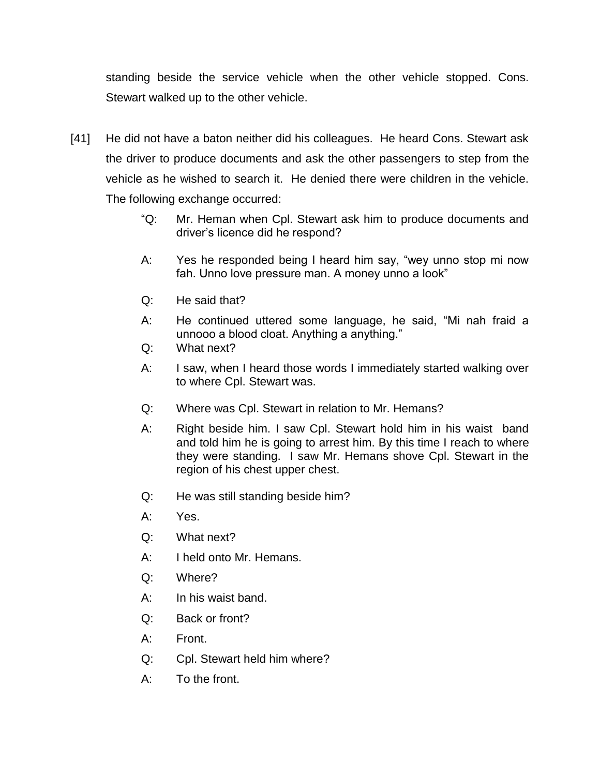standing beside the service vehicle when the other vehicle stopped. Cons. Stewart walked up to the other vehicle.

- [41] He did not have a baton neither did his colleagues. He heard Cons. Stewart ask the driver to produce documents and ask the other passengers to step from the vehicle as he wished to search it. He denied there were children in the vehicle. The following exchange occurred:
	- "Q: Mr. Heman when Cpl. Stewart ask him to produce documents and driver's licence did he respond?
	- A: Yes he responded being I heard him say, "wey unno stop mi now fah. Unno love pressure man. A money unno a look"
	- Q: He said that?
	- A: He continued uttered some language, he said, "Mi nah fraid a unnooo a blood cloat. Anything a anything."
	- Q: What next?
	- A: I saw, when I heard those words I immediately started walking over to where Cpl. Stewart was.
	- Q: Where was Cpl. Stewart in relation to Mr. Hemans?
	- A: Right beside him. I saw Cpl. Stewart hold him in his waist band and told him he is going to arrest him. By this time I reach to where they were standing. I saw Mr. Hemans shove Cpl. Stewart in the region of his chest upper chest.
	- Q: He was still standing beside him?
	- A: Yes.
	- Q: What next?
	- A: I held onto Mr. Hemans.
	- Q: Where?
	- A: In his waist band.
	- Q: Back or front?
	- A: Front.
	- Q: Cpl. Stewart held him where?
	- A: To the front.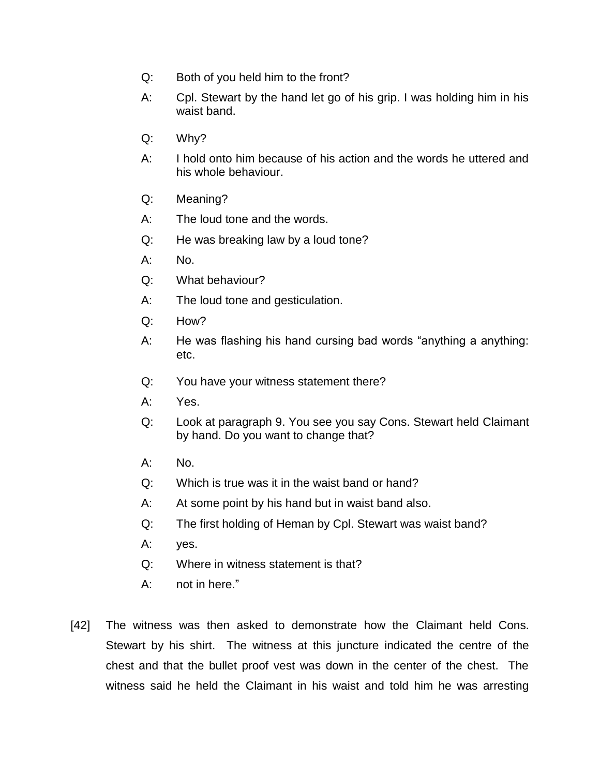- Q: Both of you held him to the front?
- A: Cpl. Stewart by the hand let go of his grip. I was holding him in his waist band.
- Q: Why?
- A: I hold onto him because of his action and the words he uttered and his whole behaviour.
- Q: Meaning?
- A: The loud tone and the words.
- Q: He was breaking law by a loud tone?
- A: No.
- Q: What behaviour?
- A: The loud tone and gesticulation.
- Q: How?
- A: He was flashing his hand cursing bad words "anything a anything: etc.
- Q: You have your witness statement there?
- A: Yes.
- Q: Look at paragraph 9. You see you say Cons. Stewart held Claimant by hand. Do you want to change that?
- A: No.
- Q: Which is true was it in the waist band or hand?
- A: At some point by his hand but in waist band also.
- Q: The first holding of Heman by Cpl. Stewart was waist band?
- A: yes.
- Q: Where in witness statement is that?
- A: not in here."
- [42] The witness was then asked to demonstrate how the Claimant held Cons. Stewart by his shirt. The witness at this juncture indicated the centre of the chest and that the bullet proof vest was down in the center of the chest. The witness said he held the Claimant in his waist and told him he was arresting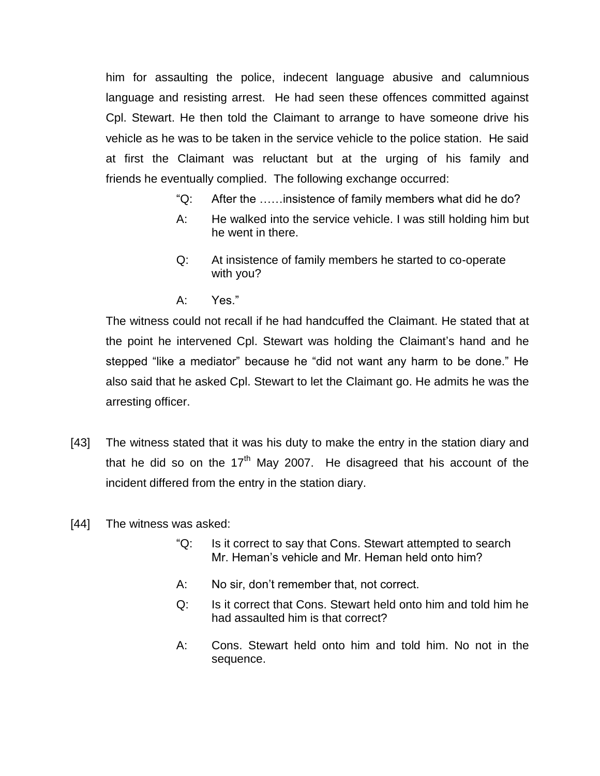him for assaulting the police, indecent language abusive and calumnious language and resisting arrest. He had seen these offences committed against Cpl. Stewart. He then told the Claimant to arrange to have someone drive his vehicle as he was to be taken in the service vehicle to the police station. He said at first the Claimant was reluctant but at the urging of his family and friends he eventually complied. The following exchange occurred:

- "Q: After the ……insistence of family members what did he do?
- A: He walked into the service vehicle. I was still holding him but he went in there.
- Q: At insistence of family members he started to co-operate with you?
- A: Yes."

The witness could not recall if he had handcuffed the Claimant. He stated that at the point he intervened Cpl. Stewart was holding the Claimant's hand and he stepped "like a mediator" because he "did not want any harm to be done." He also said that he asked Cpl. Stewart to let the Claimant go. He admits he was the arresting officer.

- [43] The witness stated that it was his duty to make the entry in the station diary and that he did so on the  $17<sup>th</sup>$  May 2007. He disagreed that his account of the incident differed from the entry in the station diary.
- [44] The witness was asked:
	- "Q: Is it correct to say that Cons. Stewart attempted to search Mr. Heman's vehicle and Mr. Heman held onto him?
	- A: No sir, don't remember that, not correct.
	- Q: Is it correct that Cons. Stewart held onto him and told him he had assaulted him is that correct?
	- A: Cons. Stewart held onto him and told him. No not in the sequence.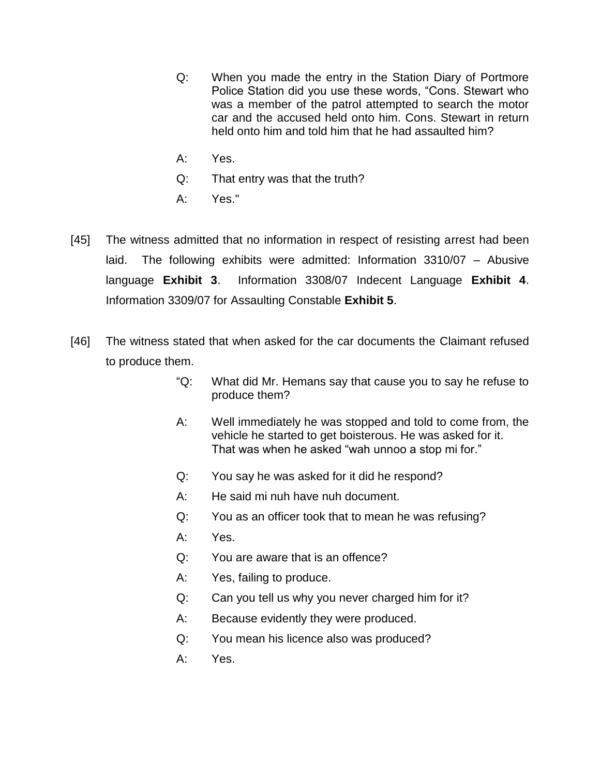- Q: When you made the entry in the Station Diary of Portmore Police Station did you use these words, "Cons. Stewart who was a member of the patrol attempted to search the motor car and the accused held onto him. Cons. Stewart in return held onto him and told him that he had assaulted him?
- A: Yes.
- Q: That entry was that the truth?
- A: Yes."
- [45] The witness admitted that no information in respect of resisting arrest had been laid. The following exhibits were admitted: Information 3310/07 – Abusive language **Exhibit 3**. Information 3308/07 Indecent Language **Exhibit 4**. Information 3309/07 for Assaulting Constable **Exhibit 5**.
- [46] The witness stated that when asked for the car documents the Claimant refused to produce them.
	- "Q: What did Mr. Hemans say that cause you to say he refuse to produce them?
	- A: Well immediately he was stopped and told to come from, the vehicle he started to get boisterous. He was asked for it. That was when he asked "wah unnoo a stop mi for."
	- Q: You say he was asked for it did he respond?
	- A: He said mi nuh have nuh document.
	- Q: You as an officer took that to mean he was refusing?
	- A: Yes.
	- Q: You are aware that is an offence?
	- A: Yes, failing to produce.
	- Q: Can you tell us why you never charged him for it?
	- A: Because evidently they were produced.
	- Q: You mean his licence also was produced?
	- A: Yes.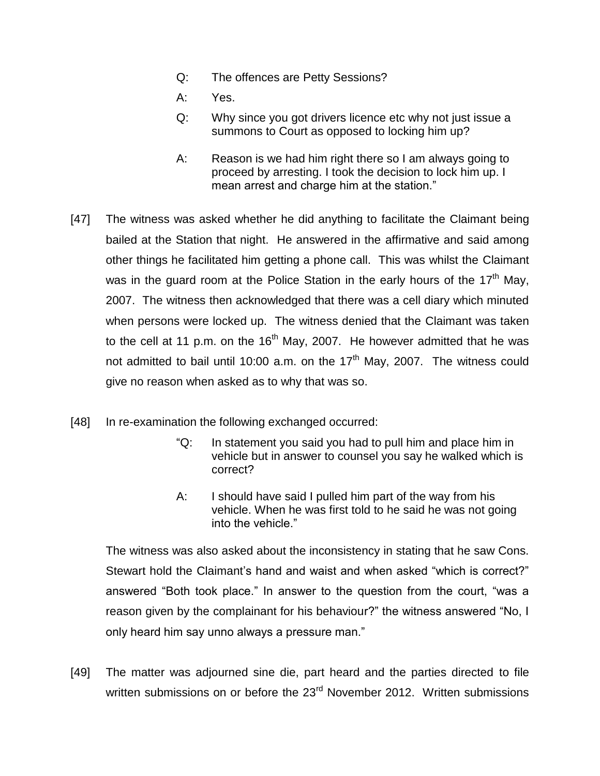- Q: The offences are Petty Sessions?
- A: Yes.
- Q: Why since you got drivers licence etc why not just issue a summons to Court as opposed to locking him up?
- A: Reason is we had him right there so I am always going to proceed by arresting. I took the decision to lock him up. I mean arrest and charge him at the station."
- [47] The witness was asked whether he did anything to facilitate the Claimant being bailed at the Station that night. He answered in the affirmative and said among other things he facilitated him getting a phone call. This was whilst the Claimant was in the guard room at the Police Station in the early hours of the 17<sup>th</sup> May, 2007. The witness then acknowledged that there was a cell diary which minuted when persons were locked up. The witness denied that the Claimant was taken to the cell at 11 p.m. on the  $16<sup>th</sup>$  May, 2007. He however admitted that he was not admitted to bail until 10:00 a.m. on the  $17<sup>th</sup>$  May, 2007. The witness could give no reason when asked as to why that was so.
- [48] In re-examination the following exchanged occurred:
	- "Q: In statement you said you had to pull him and place him in vehicle but in answer to counsel you say he walked which is correct?
	- A: I should have said I pulled him part of the way from his vehicle. When he was first told to he said he was not going into the vehicle."

The witness was also asked about the inconsistency in stating that he saw Cons. Stewart hold the Claimant's hand and waist and when asked "which is correct?" answered "Both took place." In answer to the question from the court, "was a reason given by the complainant for his behaviour?" the witness answered "No, I only heard him say unno always a pressure man."

[49] The matter was adjourned sine die, part heard and the parties directed to file written submissions on or before the 23<sup>rd</sup> November 2012. Written submissions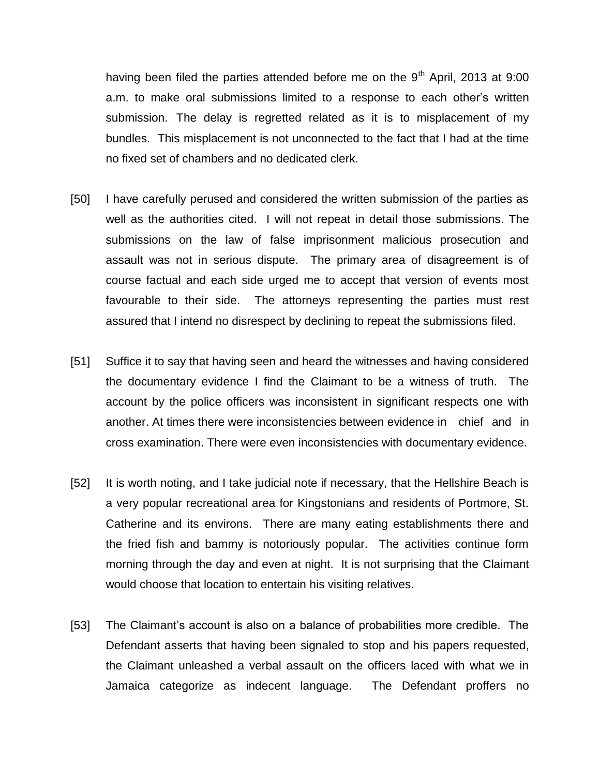having been filed the parties attended before me on the  $9<sup>th</sup>$  April, 2013 at 9:00 a.m. to make oral submissions limited to a response to each other's written submission. The delay is regretted related as it is to misplacement of my bundles. This misplacement is not unconnected to the fact that I had at the time no fixed set of chambers and no dedicated clerk.

- [50] I have carefully perused and considered the written submission of the parties as well as the authorities cited. I will not repeat in detail those submissions. The submissions on the law of false imprisonment malicious prosecution and assault was not in serious dispute. The primary area of disagreement is of course factual and each side urged me to accept that version of events most favourable to their side. The attorneys representing the parties must rest assured that I intend no disrespect by declining to repeat the submissions filed.
- [51] Suffice it to say that having seen and heard the witnesses and having considered the documentary evidence I find the Claimant to be a witness of truth. The account by the police officers was inconsistent in significant respects one with another. At times there were inconsistencies between evidence in chief and in cross examination. There were even inconsistencies with documentary evidence.
- [52] It is worth noting, and I take judicial note if necessary, that the Hellshire Beach is a very popular recreational area for Kingstonians and residents of Portmore, St. Catherine and its environs. There are many eating establishments there and the fried fish and bammy is notoriously popular. The activities continue form morning through the day and even at night. It is not surprising that the Claimant would choose that location to entertain his visiting relatives.
- [53] The Claimant's account is also on a balance of probabilities more credible. The Defendant asserts that having been signaled to stop and his papers requested, the Claimant unleashed a verbal assault on the officers laced with what we in Jamaica categorize as indecent language. The Defendant proffers no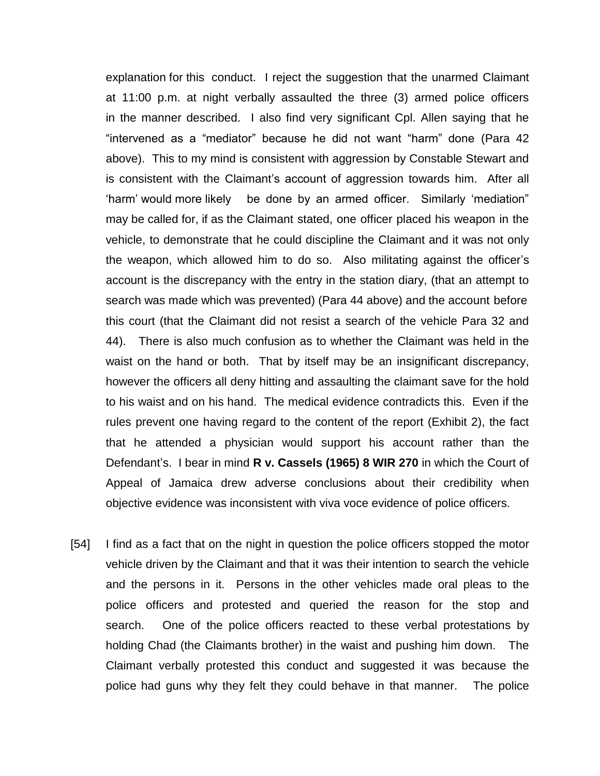explanation for this conduct. I reject the suggestion that the unarmed Claimant at 11:00 p.m. at night verbally assaulted the three (3) armed police officers in the manner described. I also find very significant Cpl. Allen saying that he "intervened as a "mediator" because he did not want "harm" done (Para 42 above). This to my mind is consistent with aggression by Constable Stewart and is consistent with the Claimant's account of aggression towards him. After all 'harm' would more likely be done by an armed officer. Similarly 'mediation" may be called for, if as the Claimant stated, one officer placed his weapon in the vehicle, to demonstrate that he could discipline the Claimant and it was not only the weapon, which allowed him to do so. Also militating against the officer's account is the discrepancy with the entry in the station diary, (that an attempt to search was made which was prevented) (Para 44 above) and the account before this court (that the Claimant did not resist a search of the vehicle Para 32 and 44). There is also much confusion as to whether the Claimant was held in the waist on the hand or both. That by itself may be an insignificant discrepancy, however the officers all deny hitting and assaulting the claimant save for the hold to his waist and on his hand. The medical evidence contradicts this. Even if the rules prevent one having regard to the content of the report (Exhibit 2), the fact that he attended a physician would support his account rather than the Defendant's. I bear in mind **R v. Cassels (1965) 8 WIR 270** in which the Court of Appeal of Jamaica drew adverse conclusions about their credibility when objective evidence was inconsistent with viva voce evidence of police officers.

[54] I find as a fact that on the night in question the police officers stopped the motor vehicle driven by the Claimant and that it was their intention to search the vehicle and the persons in it. Persons in the other vehicles made oral pleas to the police officers and protested and queried the reason for the stop and search. One of the police officers reacted to these verbal protestations by holding Chad (the Claimants brother) in the waist and pushing him down. The Claimant verbally protested this conduct and suggested it was because the police had guns why they felt they could behave in that manner. The police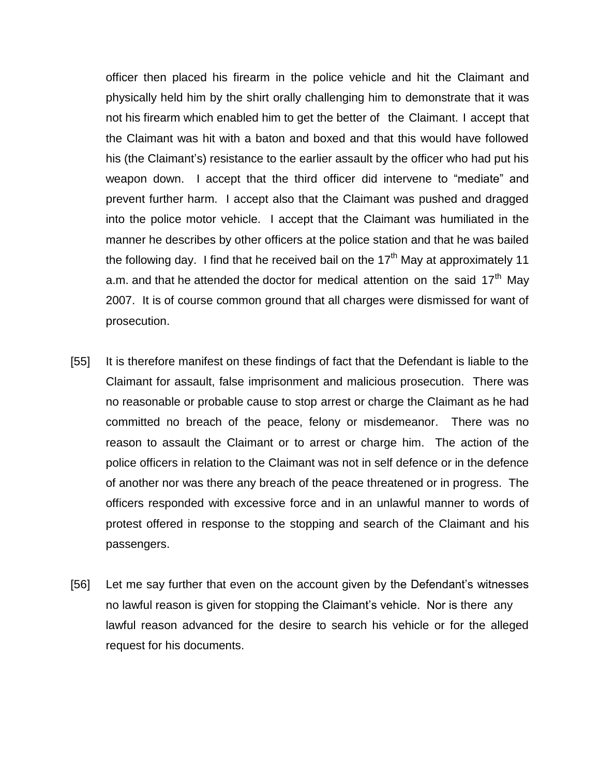officer then placed his firearm in the police vehicle and hit the Claimant and physically held him by the shirt orally challenging him to demonstrate that it was not his firearm which enabled him to get the better of the Claimant. I accept that the Claimant was hit with a baton and boxed and that this would have followed his (the Claimant's) resistance to the earlier assault by the officer who had put his weapon down. I accept that the third officer did intervene to "mediate" and prevent further harm. I accept also that the Claimant was pushed and dragged into the police motor vehicle. I accept that the Claimant was humiliated in the manner he describes by other officers at the police station and that he was bailed the following day. I find that he received bail on the 17<sup>th</sup> May at approximately 11 a.m. and that he attended the doctor for medical attention on the said  $17<sup>th</sup>$  May 2007. It is of course common ground that all charges were dismissed for want of prosecution.

- [55] It is therefore manifest on these findings of fact that the Defendant is liable to the Claimant for assault, false imprisonment and malicious prosecution. There was no reasonable or probable cause to stop arrest or charge the Claimant as he had committed no breach of the peace, felony or misdemeanor. There was no reason to assault the Claimant or to arrest or charge him. The action of the police officers in relation to the Claimant was not in self defence or in the defence of another nor was there any breach of the peace threatened or in progress. The officers responded with excessive force and in an unlawful manner to words of protest offered in response to the stopping and search of the Claimant and his passengers.
- [56] Let me say further that even on the account given by the Defendant's witnesses no lawful reason is given for stopping the Claimant's vehicle. Nor is there any lawful reason advanced for the desire to search his vehicle or for the alleged request for his documents.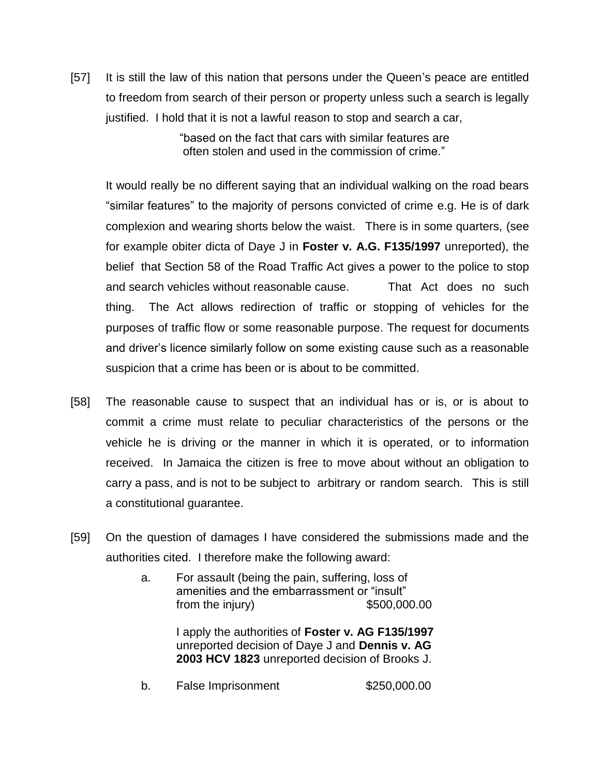[57] It is still the law of this nation that persons under the Queen's peace are entitled to freedom from search of their person or property unless such a search is legally justified. I hold that it is not a lawful reason to stop and search a car,

> "based on the fact that cars with similar features are often stolen and used in the commission of crime."

It would really be no different saying that an individual walking on the road bears "similar features" to the majority of persons convicted of crime e.g. He is of dark complexion and wearing shorts below the waist. There is in some quarters, (see for example obiter dicta of Daye J in **Foster v. A.G. F135/1997** unreported), the belief that Section 58 of the Road Traffic Act gives a power to the police to stop and search vehicles without reasonable cause. That Act does no such thing. The Act allows redirection of traffic or stopping of vehicles for the purposes of traffic flow or some reasonable purpose. The request for documents and driver's licence similarly follow on some existing cause such as a reasonable suspicion that a crime has been or is about to be committed.

- [58] The reasonable cause to suspect that an individual has or is, or is about to commit a crime must relate to peculiar characteristics of the persons or the vehicle he is driving or the manner in which it is operated, or to information received. In Jamaica the citizen is free to move about without an obligation to carry a pass, and is not to be subject to arbitrary or random search. This is still a constitutional guarantee.
- [59] On the question of damages I have considered the submissions made and the authorities cited. I therefore make the following award:
	- a. For assault (being the pain, suffering, loss of amenities and the embarrassment or "insult" from the injury) \$500,000.00

I apply the authorities of **Foster v. AG F135/1997** unreported decision of Daye J and **Dennis v. AG 2003 HCV 1823** unreported decision of Brooks J.

b. False Imprisonment \$250,000.00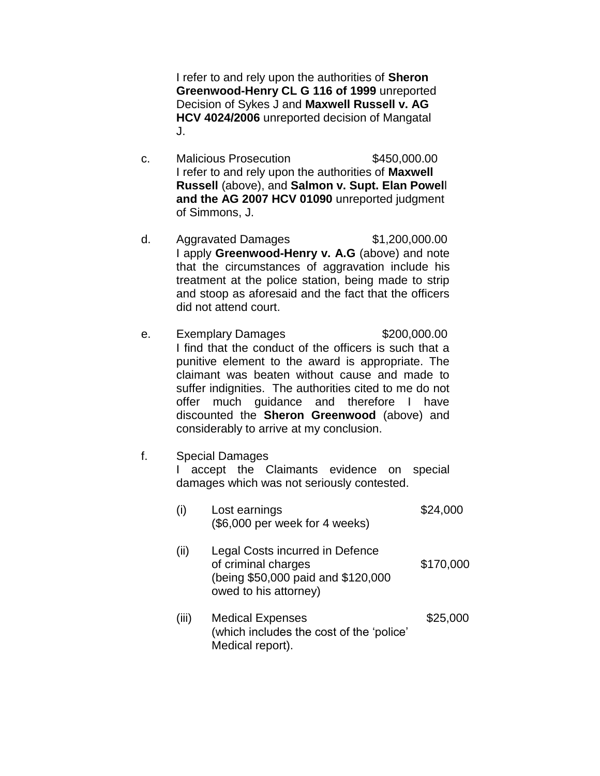I refer to and rely upon the authorities of **Sheron Greenwood-Henry CL G 116 of 1999** unreported Decision of Sykes J and **Maxwell Russell v. AG HCV 4024/2006** unreported decision of Mangatal J.

- c. Malicious Prosecution \$450,000.00 I refer to and rely upon the authorities of **Maxwell Russell** (above), and **Salmon v. Supt. Elan Powel**l **and the AG 2007 HCV 01090** unreported judgment of Simmons, J.
- d. Aggravated Damages \$1,200,000.00 I apply **Greenwood-Henry v. A.G** (above) and note that the circumstances of aggravation include his treatment at the police station, being made to strip and stoop as aforesaid and the fact that the officers did not attend court.
- e. Exemplary Damages \$200,000.00 I find that the conduct of the officers is such that a punitive element to the award is appropriate. The claimant was beaten without cause and made to suffer indignities. The authorities cited to me do not offer much guidance and therefore I have discounted the **Sheron Greenwood** (above) and considerably to arrive at my conclusion.
- f. Special Damages

I accept the Claimants evidence on special damages which was not seriously contested.

| (i)   | Lost earnings<br>(\$6,000 per week for 4 weeks)                                                                       | \$24,000  |
|-------|-----------------------------------------------------------------------------------------------------------------------|-----------|
| (ii)  | Legal Costs incurred in Defence<br>of criminal charges<br>(being \$50,000 paid and \$120,000<br>owed to his attorney) | \$170,000 |
| (iii) | <b>Medical Expenses</b><br>(which includes the cost of the 'police'<br>Medical report).                               | \$25,000  |